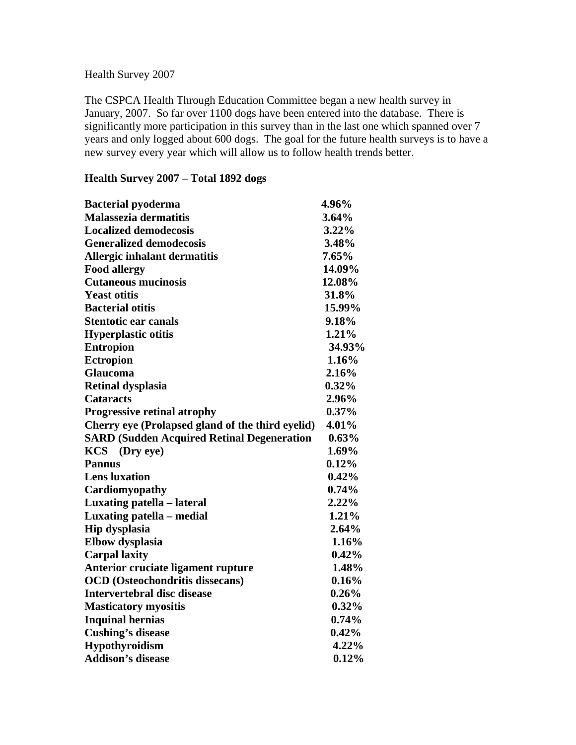## Health Survey 2007

The CSPCA Health Through Education Committee began a new health survey in January, 2007. So far over 1100 dogs have been entered into the database. There is significantly more participation in this survey than in the last one which spanned over 7 years and only logged about 600 dogs. The goal for the future health surveys is to have a new survey every year which will allow us to follow health trends better.

## **Health Survey 2007 – Total 1892 dogs**

| <b>Bacterial pyoderma</b>                         | 4.96%    |
|---------------------------------------------------|----------|
| Malassezia dermatitis                             | 3.64%    |
| <b>Localized demodecosis</b>                      | 3.22%    |
| <b>Generalized demodecosis</b>                    | 3.48%    |
| Allergic inhalant dermatitis                      | 7.65%    |
| <b>Food allergy</b>                               | 14.09%   |
| <b>Cutaneous mucinosis</b>                        | 12.08%   |
| <b>Yeast otitis</b>                               | 31.8%    |
| <b>Bacterial otitis</b>                           | 15.99%   |
| <b>Stentotic ear canals</b>                       | 9.18%    |
| <b>Hyperplastic otitis</b>                        | 1.21%    |
| <b>Entropion</b>                                  | 34.93%   |
| <b>Ectropion</b>                                  | 1.16%    |
| Glaucoma                                          | 2.16%    |
| <b>Retinal dysplasia</b>                          | $0.32\%$ |
| <b>Cataracts</b>                                  | 2.96%    |
| <b>Progressive retinal atrophy</b>                | $0.37\%$ |
| Cherry eye (Prolapsed gland of the third eyelid)  | 4.01%    |
| <b>SARD (Sudden Acquired Retinal Degeneration</b> | 0.63%    |
| KCS (Dry eye)                                     | $1.69\%$ |
| <b>Pannus</b>                                     | $0.12\%$ |
| <b>Lens</b> luxation                              | 0.42%    |
| Cardiomyopathy                                    | 0.74%    |
| Luxating patella - lateral                        | $2.22\%$ |
| Luxating patella – medial                         | 1.21%    |
| <b>Hip dysplasia</b>                              | 2.64%    |
| <b>Elbow</b> dysplasia                            | 1.16%    |
| <b>Carpal laxity</b>                              | 0.42%    |
| Anterior cruciate ligament rupture                | 1.48%    |
| <b>OCD</b> (Osteochondritis dissecans)            | 0.16%    |
| <b>Intervertebral disc disease</b>                | $0.26\%$ |
| <b>Masticatory myositis</b>                       | $0.32\%$ |
| <b>Inquinal hernias</b>                           | $0.74\%$ |
| <b>Cushing's disease</b>                          | $0.42\%$ |
| Hypothyroidism                                    | 4.22%    |
| <b>Addison's disease</b>                          | 0.12%    |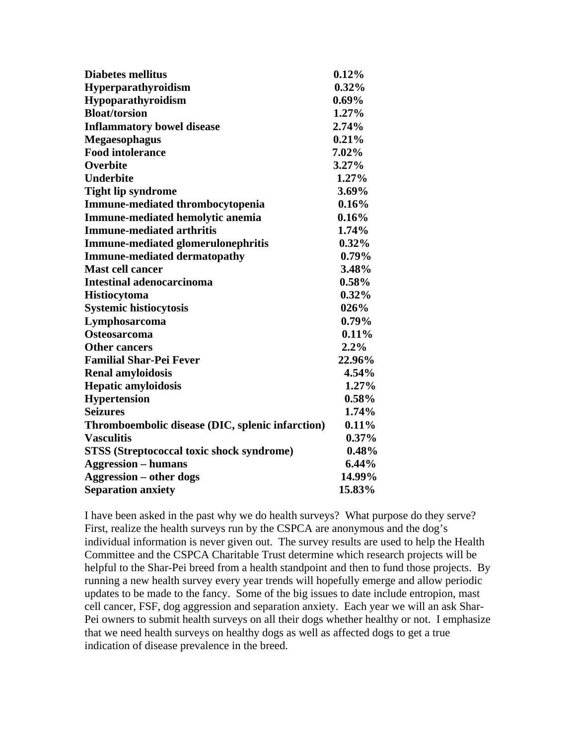| <b>Diabetes mellitus</b>                         | 0.12%    |
|--------------------------------------------------|----------|
| Hyperparathyroidism                              | 0.32%    |
| Hypoparathyroidism                               | $0.69\%$ |
| <b>Bloat/torsion</b>                             | 1.27%    |
| <b>Inflammatory bowel disease</b>                | 2.74%    |
| <b>Megaesophagus</b>                             | 0.21%    |
| <b>Food intolerance</b>                          | 7.02%    |
| Overbite                                         | 3.27%    |
| <b>Underbite</b>                                 | $1.27\%$ |
| <b>Tight lip syndrome</b>                        | 3.69%    |
| Immune-mediated thrombocytopenia                 | 0.16%    |
| Immune-mediated hemolytic anemia                 | 0.16%    |
| <b>Immune-mediated arthritis</b>                 | 1.74%    |
| <b>Immune-mediated glomerulonephritis</b>        | $0.32\%$ |
| <b>Immune-mediated dermatopathy</b>              | $0.79\%$ |
| <b>Mast cell cancer</b>                          | 3.48%    |
| <b>Intestinal adenocarcinoma</b>                 | 0.58%    |
| <b>Histiocytoma</b>                              | 0.32%    |
| <b>Systemic histiocytosis</b>                    | 026%     |
| Lymphosarcoma                                    | $0.79\%$ |
| <b>Osteosarcoma</b>                              | 0.11%    |
| <b>Other cancers</b>                             | 2.2%     |
| <b>Familial Shar-Pei Fever</b>                   | 22.96%   |
| <b>Renal amyloidosis</b>                         | 4.54%    |
| <b>Hepatic amyloidosis</b>                       | 1.27%    |
| <b>Hypertension</b>                              | 0.58%    |
| <b>Seizures</b>                                  | 1.74%    |
| Thromboembolic disease (DIC, splenic infarction) | 0.11%    |
| <b>Vasculitis</b>                                | $0.37\%$ |
| <b>STSS (Streptococcal toxic shock syndrome)</b> | 0.48%    |
| <b>Aggression – humans</b>                       | $6.44\%$ |
| <b>Aggression – other dogs</b>                   | 14.99%   |
| <b>Separation anxiety</b>                        | 15.83%   |

I have been asked in the past why we do health surveys? What purpose do they serve? First, realize the health surveys run by the CSPCA are anonymous and the dog's individual information is never given out. The survey results are used to help the Health Committee and the CSPCA Charitable Trust determine which research projects will be helpful to the Shar-Pei breed from a health standpoint and then to fund those projects. By running a new health survey every year trends will hopefully emerge and allow periodic updates to be made to the fancy. Some of the big issues to date include entropion, mast cell cancer, FSF, dog aggression and separation anxiety. Each year we will an ask Shar-Pei owners to submit health surveys on all their dogs whether healthy or not. I emphasize that we need health surveys on healthy dogs as well as affected dogs to get a true indication of disease prevalence in the breed.